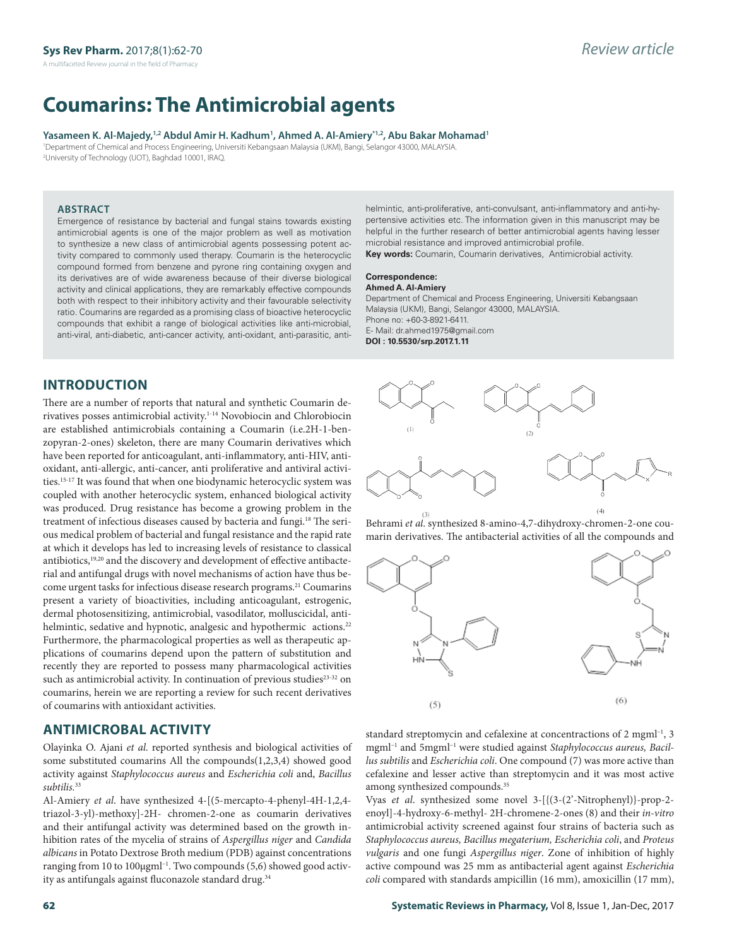# **Coumarins: The Antimicrobial agents**

#### Yasameen K. Al-Majedy,<sup>1,2</sup> Abdul Amir H. Kadhum<sup>1</sup>, Ahmed A. Al-Amiery'<sup>1,2</sup>, Abu Bakar Mohamad'

1 Department of Chemical and Process Engineering, Universiti Kebangsaan Malaysia (UKM), Bangi, Selangor 43000, MALAYSIA. 2 University of Technology (UOT), Baghdad 10001, IRAQ.

## **ABSTRACT**

Emergence of resistance by bacterial and fungal stains towards existing antimicrobial agents is one of the major problem as well as motivation to synthesize a new class of antimicrobial agents possessing potent activity compared to commonly used therapy. Coumarin is the heterocyclic compound formed from benzene and pyrone ring containing oxygen and its derivatives are of wide awareness because of their diverse biological activity and clinical applications, they are remarkably effective compounds both with respect to their inhibitory activity and their favourable selectivity ratio. Coumarins are regarded as a promising class of bioactive heterocyclic compounds that exhibit a range of biological activities like anti-microbial, anti-viral, anti-diabetic, anti-cancer activity, anti-oxidant, anti-parasitic, anti-

helmintic, anti-proliferative, anti-convulsant, anti-inflammatory and anti-hypertensive activities etc. The information given in this manuscript may be helpful in the further research of better antimicrobial agents having lesser microbial resistance and improved antimicrobial profile.

**Key words:** Coumarin, Coumarin derivatives, Antimicrobial activity.

#### **Correspondence:**

**Ahmed A. Al-Amiery**

Department of Chemical and Process Engineering, Universiti Kebangsaan Malaysia (UKM), Bangi, Selangor 43000, MALAYSIA. Phone no: +60-3-8921-6411. E- Mail: dr.ahmed1975@gmail.com **DOI : 10.5530/srp.2017.1.11**

# **INTRODUCTION**

There are a number of reports that natural and synthetic Coumarin derivatives posses antimicrobial activity.1-14 Novobiocin and Chlorobiocin are established antimicrobials containing a Coumarin (i.e.2H-1-benzopyran-2-ones) skeleton, there are many Coumarin derivatives which have been reported for anticoagulant, anti-inflammatory, anti-HIV, antioxidant, anti-allergic, anti-cancer, anti proliferative and antiviral activities.15-17 It was found that when one biodynamic heterocyclic system was coupled with another heterocyclic system, enhanced biological activity was produced. Drug resistance has become a growing problem in the treatment of infectious diseases caused by bacteria and fungi.<sup>18</sup> The serious medical problem of bacterial and fungal resistance and the rapid rate at which it develops has led to increasing levels of resistance to classical antibiotics,19,20 and the discovery and development of effective antibacterial and antifungal drugs with novel mechanisms of action have thus become urgent tasks for infectious disease research programs.<sup>21</sup> Coumarins present a variety of bioactivities, including anticoagulant, estrogenic, dermal photosensitizing, antimicrobial, vasodilator, molluscicidal, antihelmintic, sedative and hypnotic, analgesic and hypothermic actions.<sup>22</sup> Furthermore, the pharmacological properties as well as therapeutic applications of coumarins depend upon the pattern of substitution and recently they are reported to possess many pharmacological activities such as antimicrobial activity. In continuation of previous studies<sup>23-32</sup> on coumarins, herein we are reporting a review for such recent derivatives of coumarins with antioxidant activities.

# **ANTIMICROBAL ACTIVITY**

Olayinka O. Ajani *et al*. reported synthesis and biological activities of some substituted coumarins All the compounds(1,2,3,4) showed good activity against *Staphylococcus aureus* and *Escherichia coli* and, *Bacillus subtilis.*<sup>33</sup>

Al-Amiery *et al*. have synthesized 4-[(5-mercapto-4-phenyl-4H-1,2,4 triazol-3-yl)-methoxy]-2H- chromen-2-one as coumarin derivatives and their antifungal activity was determined based on the growth inhibition rates of the mycelia of strains of *Aspergillus niger* and *Candida albicans* in Potato Dextrose Broth medium (PDB) against concentrations ranging from 10 to 100µgml–1. Two compounds (5,6) showed good activity as antifungals against fluconazole standard drug.<sup>34</sup>



Behrami *et al*. synthesized 8-amino-4,7-dihydroxy-chromen-2-one coumarin derivatives. The antibacterial activities of all the compounds and



standard streptomycin and cefalexine at concentractions of 2 mgml<sup>-1</sup>, 3 mgml–1 and 5mgml–1 were studied against *Staphylococcus aureus, Bacillus subtilis* and *Escherichia coli*. One compound (7) was more active than cefalexine and lesser active than streptomycin and it was most active among synthesized compounds.35

Vyas *et al*. synthesized some novel 3-[{(3-(2'-Nitrophenyl)}-prop-2 enoyl]-4-hydroxy-6-methyl- 2H-chromene-2-ones (8) and their *in-vitro* antimicrobial activity screened against four strains of bacteria such as *Staphylococcus aureus, Bacillus megaterium, Escherichia coli*, and *Proteus vulgaris* and one fungi *Aspergillus niger*. Zone of inhibition of highly active compound was 25 mm as antibacterial agent against *Escherichia coli* compared with standards ampicillin (16 mm), amoxicillin (17 mm),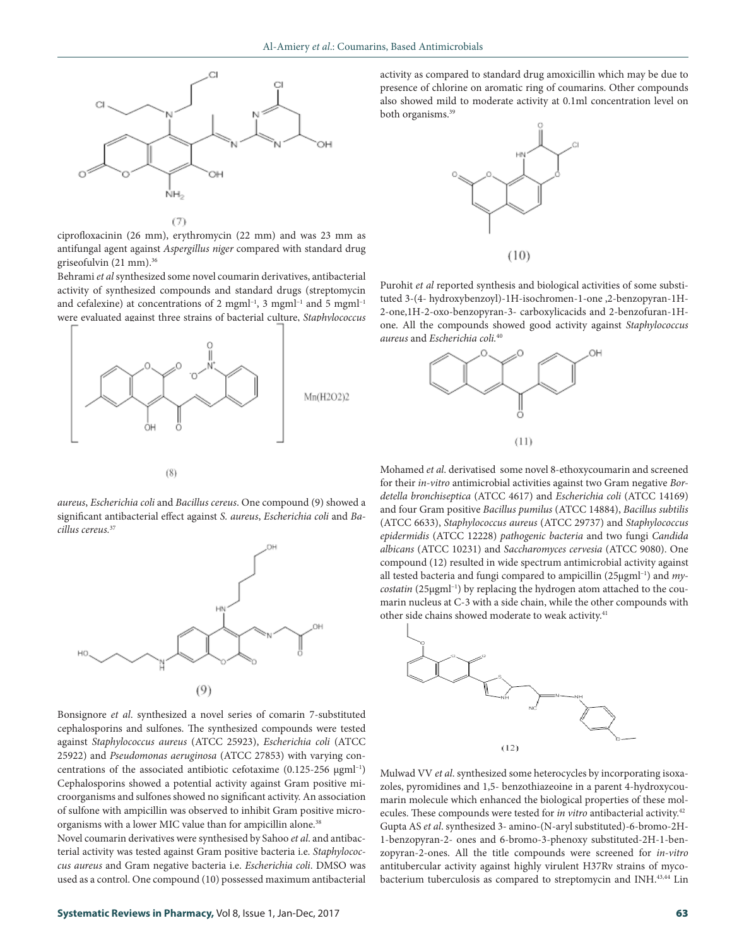

 $(T)$ 

ciprofloxacinin (26 mm), erythromycin (22 mm) and was 23 mm as antifungal agent against *Aspergillus niger* compared with standard drug griseofulvin (21 mm).36

Behrami *et al* synthesized some novel coumarin derivatives, antibacterial activity of synthesized compounds and standard drugs (streptomycin and cefalexine) at concentrations of 2 mgml<sup>-1</sup>, 3 mgml<sup>-1</sup> and 5 mgml<sup>-1</sup> were evaluated against three strains of bacterial culture, *Staphylococcus* 



*aureus*, *Escherichia coli* and *Bacillus cereus*. One compound (9) showed a significant antibacterial effect against *S. aureus*, *Escherichia coli* and *Bacillus cereus.*<sup>37</sup>



Bonsignore *et al*. synthesized a novel series of comarin 7-substituted cephalosporins and sulfones. The synthesized compounds were tested against *Staphylococcus aureus* (ATCC 25923), *Escherichia coli* (ATCC 25922) and *Pseudomonas aeruginosa* (ATCC 27853) with varying concentrations of the associated antibiotic cefotaxime (0.125-256 µgml<sup>-1</sup>) Cephalosporins showed a potential activity against Gram positive microorganisms and sulfones showed no significant activity. An association of sulfone with ampicillin was observed to inhibit Gram positive microorganisms with a lower MIC value than for ampicillin alone.<sup>38</sup>

Novel coumarin derivatives were synthesised by Sahoo *et al*. and antibacterial activity was tested against Gram positive bacteria i.e. *Staphylococcus aureus* and Gram negative bacteria i.e. *Escherichia coli*. DMSO was used as a control. One compound (10) possessed maximum antibacterial activity as compared to standard drug amoxicillin which may be due to presence of chlorine on aromatic ring of coumarins. Other compounds also showed mild to moderate activity at 0.1ml concentration level on both organisms.<sup>39</sup>



Purohit *et al* reported synthesis and biological activities of some substituted 3-(4- hydroxybenzoyl)-1H-isochromen-1-one ,2-benzopyran-1H-2-one,1H-2-oxo-benzopyran-3- carboxylicacids and 2-benzofuran-1Hone. All the compounds showed good activity against *Staphylococcus aureus* and *Escherichia coli.*<sup>40</sup>



Mohamed *et al*. derivatised some novel 8-ethoxycoumarin and screened for their *in-vitro* antimicrobial activities against two Gram negative *Bordetella bronchiseptica* (ATCC 4617) and *Escherichia coli* (ATCC 14169) and four Gram positive *Bacillus pumilus* (ATCC 14884), *Bacillus subtilis* (ATCC 6633), *Staphylococcus aureus* (ATCC 29737) and *Staphylococcus epidermidis* (ATCC 12228) *pathogenic bacteria* and two fungi *Candida albicans* (ATCC 10231) and *Saccharomyces cervesia* (ATCC 9080). One compound (12) resulted in wide spectrum antimicrobial activity against all tested bacteria and fungi compared to ampicillin (25µgml–1) and *mycostatin* (25µgml–1) by replacing the hydrogen atom attached to the coumarin nucleus at C-3 with a side chain, while the other compounds with other side chains showed moderate to weak activity.<sup>41</sup>



Mulwad VV *et al*. synthesized some heterocycles by incorporating isoxazoles, pyromidines and 1,5- benzothiazeoine in a parent 4-hydroxycoumarin molecule which enhanced the biological properties of these molecules. These compounds were tested for *in vitro* antibacterial activity.42 Gupta AS *et al*. synthesized 3- amino-(N-aryl substituted)-6-bromo-2H-1-benzopyran-2- ones and 6-bromo-3-phenoxy substituted-2H-1-benzopyran-2-ones. All the title compounds were screened for *in-vitro*  antitubercular activity against highly virulent H37Rv strains of mycobacterium tuberculosis as compared to streptomycin and INH.43,44 Lin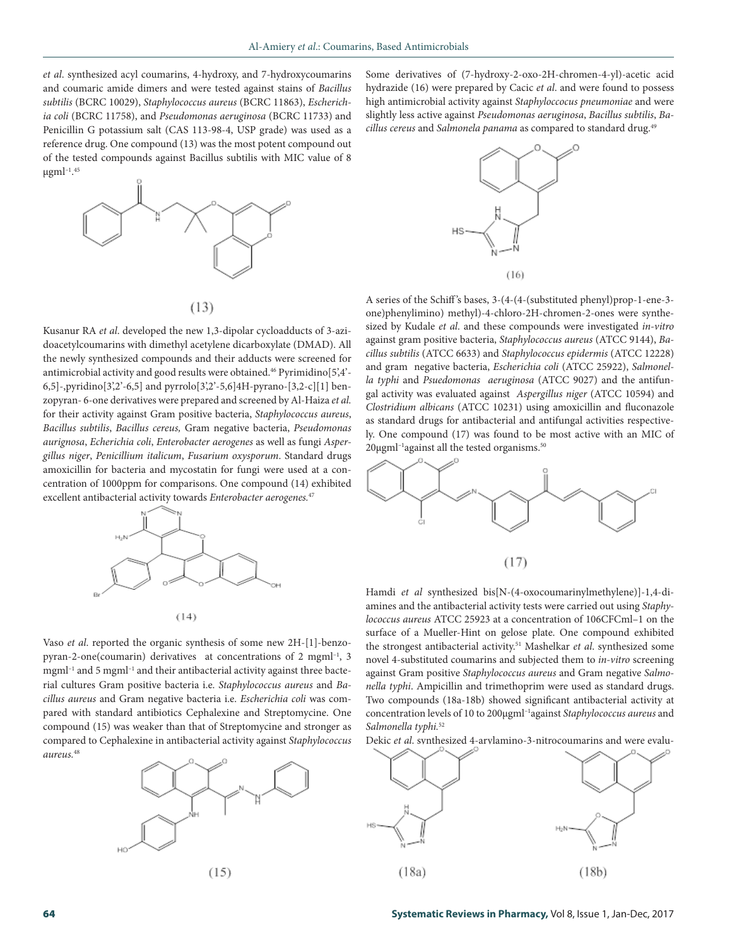*et al*. synthesized acyl coumarins, 4-hydroxy, and 7-hydroxycoumarins and coumaric amide dimers and were tested against stains of *Bacillus subtilis* (BCRC 10029), *Staphylococcus aureus* (BCRC 11863), *Escherichia coli* (BCRC 11758), and *Pseudomonas aeruginosa* (BCRC 11733) and Penicillin G potassium salt (CAS 113-98-4, USP grade) was used as a reference drug. One compound (13) was the most potent compound out of the tested compounds against Bacillus subtilis with MIC value of 8  $\mu$ gml $^{-1.45}$ 



 $(13)$ 

Kusanur RA *et al*. developed the new 1,3-dipolar cycloadducts of 3-azidoacetylcoumarins with dimethyl acetylene dicarboxylate (DMAD). All the newly synthesized compounds and their adducts were screened for antimicrobial activity and good results were obtained.<sup>46</sup> Pyrimidino<sup>[5'</sup>,4'-6,5]-,pyridino[3',2'-6,5] and pyrrolo[3',2'-5,6]4H-pyrano-[3,2-c][1] benzopyran- 6-one derivatives were prepared and screened by Al-Haiza *et al.*  for their activity against Gram positive bacteria, *Staphylococcus aureus*, *Bacillus subtilis*, *Bacillus cereus,* Gram negative bacteria, *Pseudomonas aurignosa*, *Echerichia coli*, *Enterobacter aerogenes* as well as fungi *Aspergillus niger*, *Penicillium italicum*, *Fusarium oxysporum*. Standard drugs amoxicillin for bacteria and mycostatin for fungi were used at a concentration of 1000ppm for comparisons. One compound (14) exhibited excellent antibacterial activity towards *Enterobacter aerogenes.*<sup>47</sup>



Vaso *et al*. reported the organic synthesis of some new 2H-[1]-benzopyran-2-one(coumarin) derivatives at concentrations of 2 mgml–1, 3 mgml<sup>-1</sup> and 5 mgml<sup>-1</sup> and their antibacterial activity against three bacterial cultures Gram positive bacteria i.e. *Staphylococcus aureus* and *Bacillus aureus* and Gram negative bacteria i.e. *Escherichia coli* was compared with standard antibiotics Cephalexine and Streptomycine. One compound (15) was weaker than that of Streptomycine and stronger as compared to Cephalexine in antibacterial activity against *Staphylococcus aureus.*<sup>48</sup>



Some derivatives of (7-hydroxy-2-oxo-2H-chromen-4-yl)-acetic acid hydrazide (16) were prepared by Cacic *et al*. and were found to possess high antimicrobial activity against *Staphyloccocus pneumoniae* and were slightly less active against *Pseudomonas aeruginosa*, *Bacillus subtilis*, *Bacillus cereus* and *Salmonela panama* as compared to standard drug.49



A series of the Schiff 's bases, 3-(4-(4-(substituted phenyl)prop-1-ene-3 one)phenylimino) methyl)-4-chloro-2H-chromen-2-ones were synthesized by Kudale *et al*. and these compounds were investigated *in-vitro* against gram positive bacteria, *Staphylococcus aureus* (ATCC 9144), *Bacillus subtilis* (ATCC 6633) and *Staphylococcus epidermis* (ATCC 12228) and gram negative bacteria, *Escherichia coli* (ATCC 25922), *Salmonella typhi* and *Psuedomonas aeruginosa* (ATCC 9027) and the antifungal activity was evaluated against *Aspergillus niger* (ATCC 10594) and *Clostridium albicans* (ATCC 10231) using amoxicillin and fluconazole as standard drugs for antibacterial and antifungal activities respectively. One compound (17) was found to be most active with an MIC of  $20\mu$ gml<sup>-1</sup>against all the tested organisms.<sup>50</sup>



Hamdi *et al* synthesized bis[N-(4-oxocoumarinylmethylene)]-1,4-diamines and the antibacterial activity tests were carried out using *Staphylococcus aureus* ATCC 25923 at a concentration of 106CFCml–1 on the surface of a Mueller-Hint on gelose plate. One compound exhibited the strongest antibacterial activity.<sup>51</sup> Mashelkar *et al.* synthesized some novel 4-substituted coumarins and subjected them to *in-vitro* screening against Gram positive *Staphylococcus aureus* and Gram negative *Salmonella typhi*. Ampicillin and trimethoprim were used as standard drugs. Two compounds (18a-18b) showed significant antibacterial activity at concentration levels of 10 to 200µgml–1against *Staphylococcus aureus* and *Salmonella typhi.*<sup>52</sup>

Dekic *et al*. synthesized 4-arylamino-3-nitrocoumarins and were evalu-

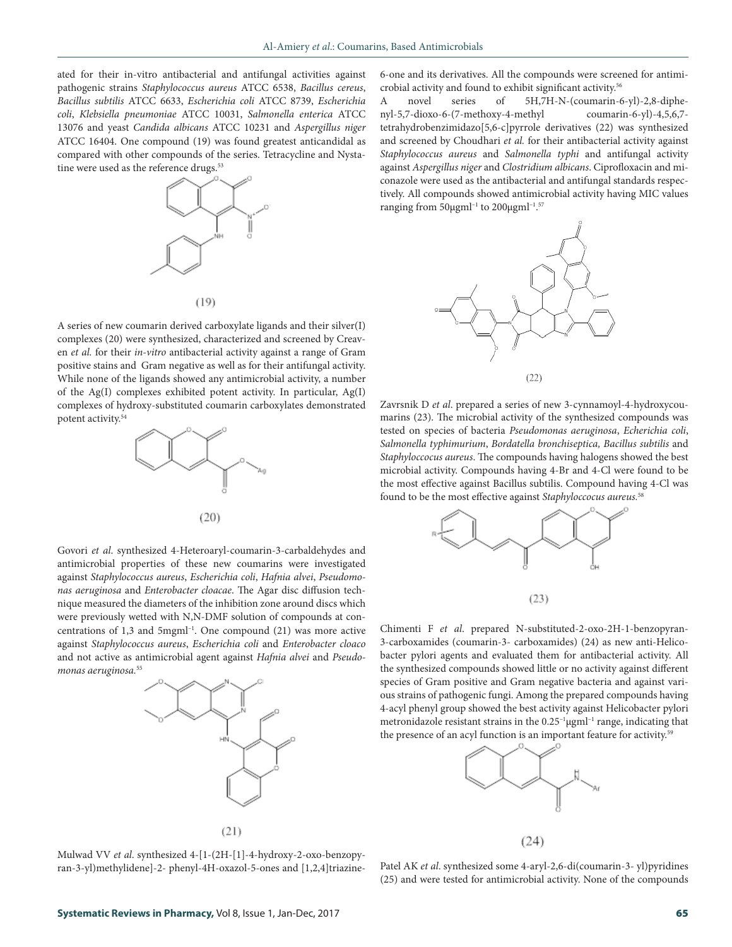ated for their in-vitro antibacterial and antifungal activities against pathogenic strains *Staphylococcus aureus* ATCC 6538, *Bacillus cereus*, *Bacillus subtilis* ATCC 6633, *Escherichia coli* ATCC 8739, *Escherichia coli*, *Klebsiella pneumoniae* ATCC 10031, *Salmonella enterica* ATCC 13076 and yeast *Candida albicans* ATCC 10231 and *Aspergillus niger* ATCC 16404. One compound (19) was found greatest anticandidal as compared with other compounds of the series. Tetracycline and Nystatine were used as the reference drugs.<sup>53</sup>



 $(19)$ 

A series of new coumarin derived carboxylate ligands and their silver(I) complexes (20) were synthesized, characterized and screened by Creaven *et al.* for their *in-vitro* antibacterial activity against a range of Gram positive stains and Gram negative as well as for their antifungal activity. While none of the ligands showed any antimicrobial activity, a number of the Ag(I) complexes exhibited potent activity. In particular, Ag(I) complexes of hydroxy-substituted coumarin carboxylates demonstrated potent activity.54



Govori *et al*. synthesized 4-Heteroaryl-coumarin-3-carbaldehydes and antimicrobial properties of these new coumarins were investigated against *Staphylococcus aureus*, *Escherichia coli*, *Hafnia alvei*, *Pseudomonas aeruginosa* and *Enterobacter cloacae*. The Agar disc diffusion technique measured the diameters of the inhibition zone around discs which were previously wetted with N,N-DMF solution of compounds at concentrations of 1,3 and 5mgml–1. One compound (21) was more active against *Staphylococcus aureus*, *Escherichia coli* and *Enterobacter cloaco* and not active as antimicrobial agent against *Hafnia alvei* and *Pseudo*monas aeruginosa.<sup>55</sup>



6-one and its derivatives. All the compounds were screened for antimicrobial activity and found to exhibit significant activity.56

A novel series of 5H,7H-N-(coumarin-6-yl)-2,8-diphenyl-5,7-dioxo-6-(7-methoxy-4-methyl coumarin-6-yl)-4,5,6,7 tetrahydrobenzimidazo[5,6-c]pyrrole derivatives (22) was synthesized and screened by Choudhari *et al.* for their antibacterial activity against *Staphylococcus aureus* and *Salmonella typhi* and antifungal activity against *Aspergillus niger* and *Clostridium albicans*. Ciprofloxacin and miconazole were used as the antibacterial and antifungal standards respectively. All compounds showed antimicrobial activity having MIC values ranging from 50µgml–1 to 200µgml–1. 57



Zavrsnik D *et al*. prepared a series of new 3-cynnamoyl-4-hydroxycoumarins (23). The microbial activity of the synthesized compounds was tested on species of bacteria *Pseudomonas aeruginosa*, *Echerichia coli*, *Salmonella typhimurium*, *Bordatella bronchiseptica, Bacillus subtilis* and *Staphyloccocus aureus*. The compounds having halogens showed the best microbial activity. Compounds having 4-Br and 4-Cl were found to be the most effective against Bacillus subtilis. Compound having 4-Cl was found to be the most effective against *Staphyloccocus aureus.*<sup>58</sup>



Chimenti F *et al*. prepared N-substituted-2-oxo-2H-1-benzopyran-3-carboxamides (coumarin-3- carboxamides) (24) as new anti-Helicobacter pylori agents and evaluated them for antibacterial activity. All the synthesized compounds showed little or no activity against different species of Gram positive and Gram negative bacteria and against various strains of pathogenic fungi. Among the prepared compounds having 4-acyl phenyl group showed the best activity against Helicobacter pylori metronidazole resistant strains in the  $0.25$ <sup>-1</sup> µgml<sup>-1</sup> range, indicating that the presence of an acyl function is an important feature for activity.<sup>59</sup>



Mulwad VV *et al*. synthesized 4-[1-(2H-[1]-4-hydroxy-2-oxo-benzopyran-3-yl)methylidene]-2- phenyl-4H-oxazol-5-ones and [1,2,4]triazine-

Patel AK *et al*. synthesized some 4-aryl-2,6-di(coumarin-3- yl)pyridines (25) and were tested for antimicrobial activity. None of the compounds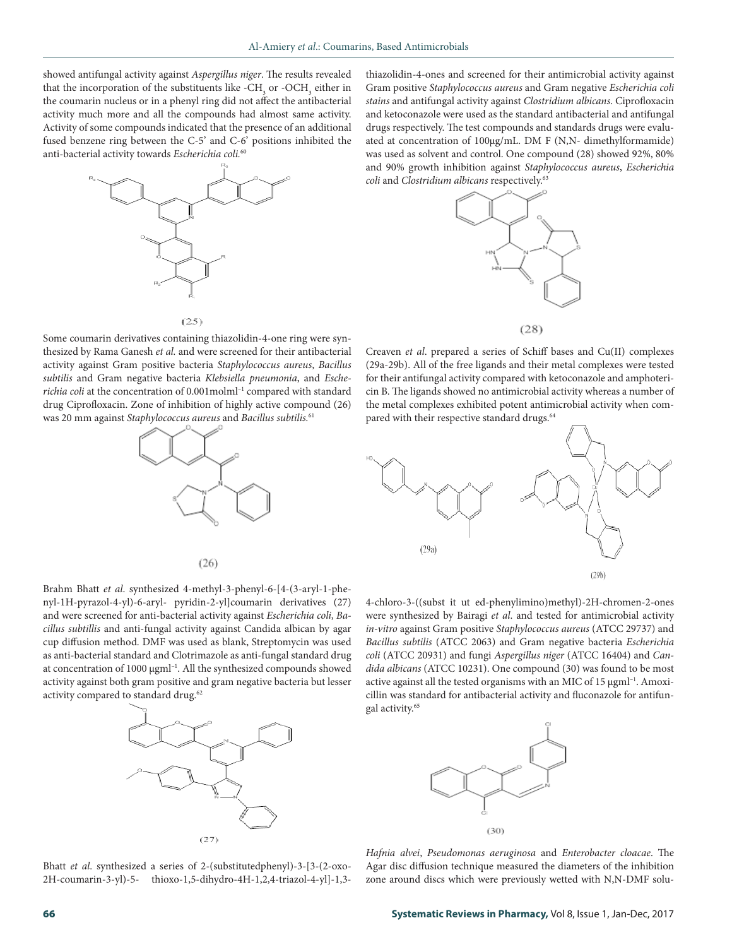showed antifungal activity against *Aspergillus niger*. The results revealed that the incorporation of the substituents like - $\rm CH_{_{3}}$  or - $\rm OCH_{_{3}}$  either in the coumarin nucleus or in a phenyl ring did not affect the antibacterial activity much more and all the compounds had almost same activity. Activity of some compounds indicated that the presence of an additional fused benzene ring between the C-5' and C-6' positions inhibited the anti-bacterial activity towards *Escherichia coli.*<sup>60</sup>



 $(25)$ 

Some coumarin derivatives containing thiazolidin-4-one ring were synthesized by Rama Ganesh *et al.* and were screened for their antibacterial activity against Gram positive bacteria *Staphylococcus aureus*, *Bacillus subtilis* and Gram negative bacteria *Klebsiella pneumonia*, and *Escherichia coli* at the concentration of 0.001molml–1 compared with standard drug Ciprofloxacin. Zone of inhibition of highly active compound (26) was 20 mm against *Staphylococcus aureus* and *Bacillus subtilis.*<sup>61</sup>



 $(26)$ 

Brahm Bhatt *et al*. synthesized 4-methyl-3-phenyl-6-[4-(3-aryl-1-phenyl-1H-pyrazol-4-yl)-6-aryl- pyridin-2-yl]coumarin derivatives (27) and were screened for anti-bacterial activity against *Escherichia coli*, *Bacillus subtillis* and anti-fungal activity against Candida albican by agar cup diffusion method. DMF was used as blank, Streptomycin was used as anti-bacterial standard and Clotrimazole as anti-fungal standard drug at concentration of 1000 µgml<sup>-1</sup>. All the synthesized compounds showed activity against both gram positive and gram negative bacteria but lesser activity compared to standard drug.<sup>62</sup>



Bhatt *et al*. synthesized a series of 2-(substitutedphenyl)-3-[3-(2-oxo-2H-coumarin-3-yl)-5- thioxo-1,5-dihydro-4H-1,2,4-triazol-4-yl]-1,3thiazolidin-4-ones and screened for their antimicrobial activity against Gram positive *Staphylococcus aureus* and Gram negative *Escherichia coli stains* and antifungal activity against *Clostridium albicans*. Ciprofloxacin and ketoconazole were used as the standard antibacterial and antifungal drugs respectively. The test compounds and standards drugs were evaluated at concentration of 100µg/mL. DM F (N,N- dimethylformamide) was used as solvent and control. One compound (28) showed 92%, 80% and 90% growth inhibition against *Staphylococcus aureus*, *Escherichia coli* and *Clostridium albicans* respectively.63



Creaven *et al*. prepared a series of Schiff bases and Cu(II) complexes (29a-29b). All of the free ligands and their metal complexes were tested for their antifungal activity compared with ketoconazole and amphotericin B. The ligands showed no antimicrobial activity whereas a number of the metal complexes exhibited potent antimicrobial activity when compared with their respective standard drugs.<sup>64</sup>



4-chloro-3-((subst it ut ed-phenylimino)methyl)-2H-chromen-2-ones were synthesized by Bairagi *et al*. and tested for antimicrobial activity *in-vitro* against Gram positive *Staphylococcus aureus* (ATCC 29737) and *Bacillus subtilis* (ATCC 2063) and Gram negative bacteria *Escherichia coli* (ATCC 20931) and fungi *Aspergillus niger* (ATCC 16404) and *Candida albicans* (ATCC 10231). One compound (30) was found to be most active against all the tested organisms with an MIC of  $15 \mu g$ ml<sup>-1</sup>. Amoxicillin was standard for antibacterial activity and fluconazole for antifungal activity.65



*Hafnia alvei*, *Pseudomonas aeruginosa* and *Enterobacter cloacae*. The Agar disc diffusion technique measured the diameters of the inhibition zone around discs which were previously wetted with N,N-DMF solu-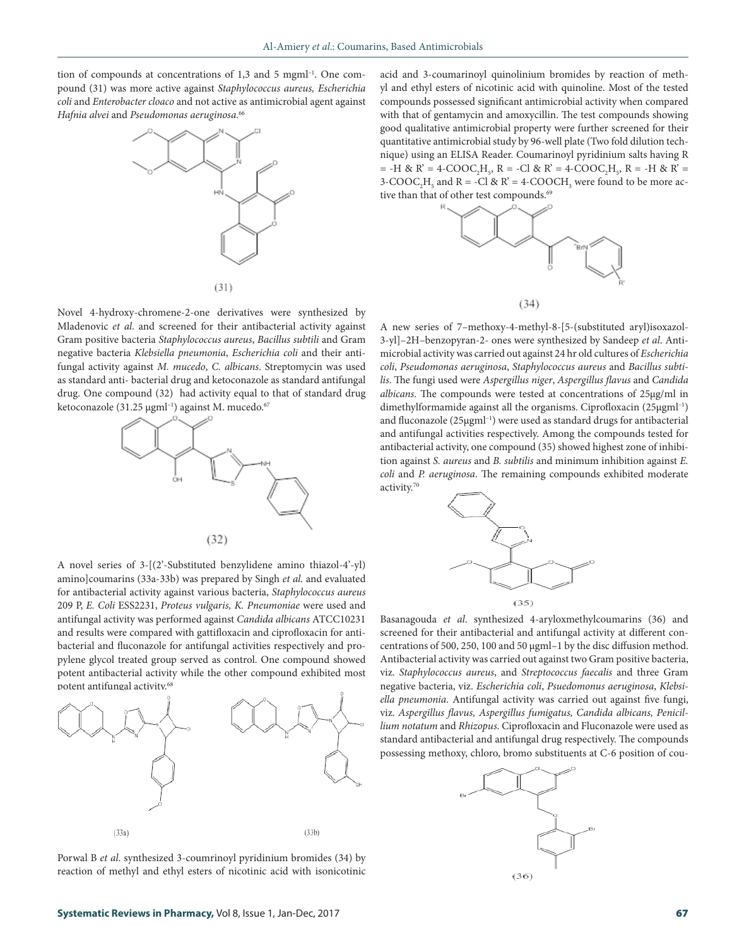tion of compounds at concentrations of 1,3 and 5 mgml<sup>-1</sup>. One compound (31) was more active against *Staphylococcus aureus, Escherichia coli* and *Enterobacter cloaco* and not active as antimicrobial agent against *Hafnia alvei* and *Pseudomonas aeruginosa.*<sup>66</sup>



Novel 4-hydroxy-chromene-2-one derivatives were synthesized by Mladenovic *et al*. and screened for their antibacterial activity against Gram positive bacteria *Staphylococcus aureus*, *Bacillus subtili* and Gram negative bacteria *Klebsiella pneumonia*, *Escherichia coli* and their antifungal activity against *M. mucedo*, *C. albicans*. Streptomycin was used as standard anti- bacterial drug and ketoconazole as standard antifungal drug. One compound (32) had activity equal to that of standard drug ketoconazole (31.25 µgml<sup>-1</sup>) against M. mucedo.<sup>67</sup>



A novel series of 3-[(2'-Substituted benzylidene amino thiazol-4'-yl) amino]coumarins (33a-33b) was prepared by Singh *et al.* and evaluated for antibacterial activity against various bacteria, *Staphylococcus aureus* 209 P, *E. Coli* ESS2231, *Proteus vulgaris, K. Pneumoniae* were used and antifungal activity was performed against *Candida albicans* ATCC10231 and results were compared with gattifloxacin and ciprofloxacin for antibacterial and fluconazole for antifungal activities respectively and propylene glycol treated group served as control. One compound showed potent antibacterial activity while the other compound exhibited most potent antifungal activity.68



Porwal B *et al*. synthesized 3-coumrinoyl pyridinium bromides (34) by reaction of methyl and ethyl esters of nicotinic acid with isonicotinic

acid and 3-coumarinoyl quinolinium bromides by reaction of methyl and ethyl esters of nicotinic acid with quinoline. Most of the tested compounds possessed significant antimicrobial activity when compared with that of gentamycin and amoxycillin. The test compounds showing good qualitative antimicrobial property were further screened for their quantitative antimicrobial study by 96-well plate (Two fold dilution technique) using an ELISA Reader. Coumarinoyl pyridinium salts having R  $=$  -H & R' = 4-COOC<sub>2</sub>H<sub>5</sub>, R = -Cl & R' = 4-COOC<sub>2</sub>H<sub>5</sub>, R = -H & R' = 3-COOC<sub>2</sub>H<sub>5</sub> and R = -Cl & R' = 4-COOCH<sub>3</sub> were found to be more active than that of other test compounds.<sup>69</sup>



A new series of 7–methoxy-4-methyl-8-[5-(substituted aryl)isoxazol-3-yl]–2H–benzopyran-2- ones were synthesized by Sandeep *et al*. Antimicrobial activity was carried out against 24 hr old cultures of *Escherichia coli*, *Pseudomonas aeruginosa*, *Staphylococcus aureus* and *Bacillus subtilis*. The fungi used were *Aspergillus niger*, *Aspergillus flavus* and *Candida albicans*. The compounds were tested at concentrations of 25µg/ml in dimethylformamide against all the organisms. Ciprofloxacin (25µgml–1) and fluconazole (25µgml<sup>-1</sup>) were used as standard drugs for antibacterial and antifungal activities respectively. Among the compounds tested for antibacterial activity, one compound (35) showed highest zone of inhibition against *S. aureus* and *B. subtilis* and minimum inhibition against *E. coli* and *P. aeruginosa*. The remaining compounds exhibited moderate activity.70



Basanagouda *et al*. synthesized 4-aryloxmethylcoumarins (36) and screened for their antibacterial and antifungal activity at different concentrations of 500, 250, 100 and 50 µgml–1 by the disc diffusion method. Antibacterial activity was carried out against two Gram positive bacteria, viz. *Staphylococcus aureus*, and *Streptococcus faecalis* and three Gram negative bacteria, viz. *Escherichia coli*, *Psuedomonus aeruginosa*, *Klebsiella pneumonia*. Antifungal activity was carried out against five fungi, viz. *Aspergillus flavus, Aspergillus fumigatus, Candida albicans, Penicillium notatum* and *Rhizopus*. Ciprofloxacin and Fluconazole were used as standard antibacterial and antifungal drug respectively. The compounds possessing methoxy, chloro, bromo substituents at C-6 position of cou-

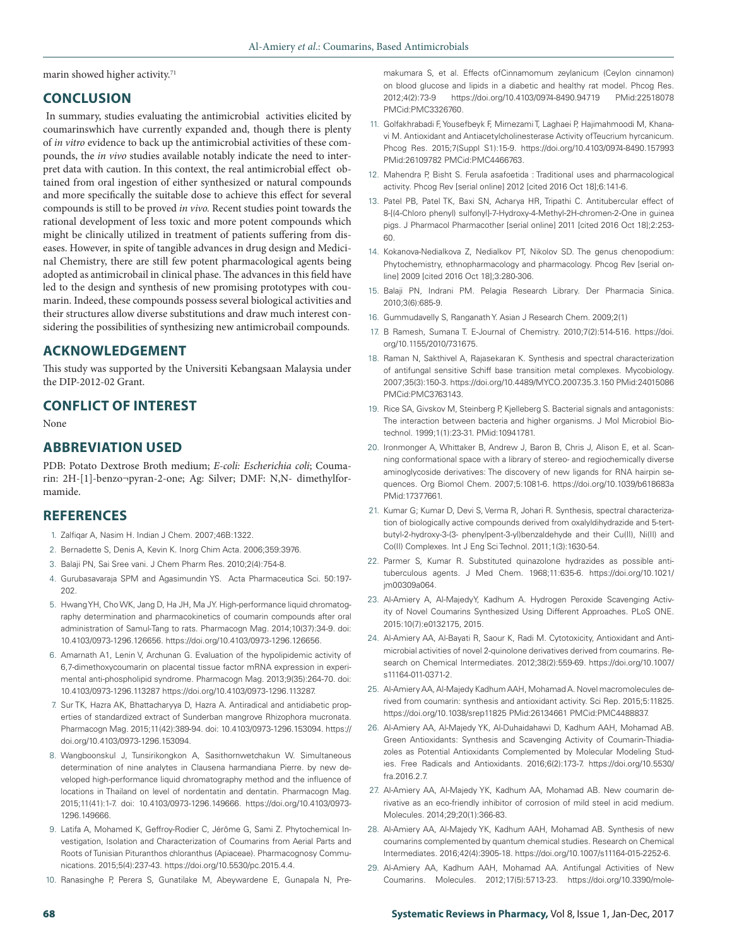marin showed higher activity. $71$ 

## **CONCLUSION**

In summary, studies evaluating the antimicrobial activities elicited by coumarinswhich have currently expanded and, though there is plenty of *in vitro* evidence to back up the antimicrobial activities of these compounds, the *in vivo* studies available notably indicate the need to interpret data with caution. In this context, the real antimicrobial effect obtained from oral ingestion of either synthesized or natural compounds and more specifically the suitable dose to achieve this effect for several compounds is still to be proved *in vivo.* Recent studies point towards the rational development of less toxic and more potent compounds which might be clinically utilized in treatment of patients suffering from diseases. However, in spite of tangible advances in drug design and Medicinal Chemistry, there are still few potent pharmacological agents being adopted as antimicrobail in clinical phase. The advances in this field have led to the design and synthesis of new promising prototypes with coumarin. Indeed, these compounds possess several biological activities and their structures allow diverse substitutions and draw much interest considering the possibilities of synthesizing new antimicrobail compounds.

## **ACKNOWLEDGEMENT**

This study was supported by the Universiti Kebangsaan Malaysia under the DIP-2012-02 Grant.

## **CONFLICT OF INTEREST**

None

# **ABBREVIATION USED**

PDB: Potato Dextrose Broth medium; *E-coli: Escherichia coli*; Coumarin: 2H-[1]-benzo¬pyran-2-one; Ag: Silver; DMF: N,N- dimethylformamide.

# **REFERENCES**

- 1. Zalfiqar A, Nasim H. Indian J Chem. 2007;46B:1322.
- 2. Bernadette S, Denis A, Kevin K. Inorg Chim Acta. 2006;359:3976.
- 3. Balaji PN, Sai Sree vani. J Chem Pharm Res. 2010;2(4):754-8.
- 4. Gurubasavaraja SPM and Agasimundin YS. Acta Pharmaceutica Sci. 50:197- 202.
- 5. Hwang YH, Cho WK, Jang D, Ha JH, Ma JY. High-performance liquid chromatography determination and pharmacokinetics of coumarin compounds after oral administration of Samul-Tang to rats. Pharmacogn Mag. 2014;10(37):34-9. doi: 10.4103/0973-1296.126656. https://doi.org/10.4103/0973-1296.126656.
- 6. Amarnath A1, Lenin V, Archunan G. Evaluation of the hypolipidemic activity of 6,7-dimethoxycoumarin on placental tissue factor mRNA expression in experimental anti-phospholipid syndrome. Pharmacogn Mag. 2013;9(35):264-70. doi: 10.4103/0973-1296.113287 https://doi.org/10.4103/0973-1296.113287.
- 7. Sur TK, Hazra AK, Bhattacharyya D, Hazra A. Antiradical and antidiabetic properties of standardized extract of Sunderban mangrove Rhizophora mucronata. Pharmacogn Mag. 2015;11(42):389-94. doi: 10.4103/0973-1296.153094. https:// doi.org/10.4103/0973-1296.153094.
- 8. Wangboonskul J, Tunsirikongkon A, Sasithornwetchakun W. Simultaneous determination of nine analytes in Clausena harmandiana Pierre. by new developed high-performance liquid chromatography method and the influence of locations in Thailand on level of nordentatin and dentatin. Pharmacogn Mag. 2015;11(41):1-7. doi: 10.4103/0973-1296.149666. https://doi.org/10.4103/0973- 1296.149666.
- 9. Latifa A, Mohamed K, Geffroy-Rodier C, Jérôme G, Sami Z. Phytochemical Investigation, Isolation and Characterization of Coumarins from Aerial Parts and Roots of Tunisian Pituranthos chloranthus (Apiaceae). Pharmacognosy Communications. 2015;5(4):237-43. https://doi.org/10.5530/pc.2015.4.4.
- 10. Ranasinghe P, Perera S, Gunatilake M, Abeywardene E, Gunapala N, Pre-

makumara S, et al. Effects ofCinnamomum zeylanicum (Ceylon cinnamon) on blood glucose and lipids in a diabetic and healthy rat model. Phcog Res. 2012;4(2):73-9 https://doi.org/10.4103/0974-8490.94719 PMid:22518078 PMCid:PMC3326760.

- 11. Golfakhrabadi F, Yousefbeyk F, Mirnezami T, Laghaei P, Hajimahmoodi M, Khanavi M. Antioxidant and Antiacetylcholinesterase Activity ofTeucrium hyrcanicum. Phcog Res. 2015;7(Suppl S1):15-9. https://doi.org/10.4103/0974-8490.157993 PMid:26109782 PMCid:PMC4466763.
- 12. Mahendra P, Bisht S. Ferula asafoetida : Traditional uses and pharmacological activity. Phcog Rev [serial online] 2012 [cited 2016 Oct 18];6:141-6.
- 13. Patel PB, Patel TK, Baxi SN, Acharya HR, Tripathi C. Antitubercular effect of 8-[(4-Chloro phenyl) sulfonyl]-7-Hydroxy-4-Methyl-2H-chromen-2-One in guinea pigs. J Pharmacol Pharmacother [serial online] 2011 [cited 2016 Oct 18];2:253- 60.
- 14. Kokanova-Nedialkova Z, Nedialkov PT, Nikolov SD. The genus chenopodium: Phytochemistry, ethnopharmacology and pharmacology. Phcog Rev [serial online] 2009 [cited 2016 Oct 18];3:280-306.
- 15. Balaji PN, Indrani PM. Pelagia Research Library. Der Pharmacia Sinica. 2010;3(6):685-9.
- 16. Gummudavelly S, Ranganath Y. Asian J Research Chem. 2009;2(1)
- 17. B Ramesh, Sumana T. E-Journal of Chemistry. 2010;7(2):514-516. https://doi. org/10.1155/2010/731675.
- 18. Raman N, Sakthivel A, Rajasekaran K. Synthesis and spectral characterization of antifungal sensitive Schiff base transition metal complexes. Mycobiology. 2007;35(3):150-3. https://doi.org/10.4489/MYCO.2007.35.3.150 PMid:24015086 PMCid:PMC3763143.
- 19. Rice SA, Givskov M, Steinberg P, Kjelleberg S. Bacterial signals and antagonists: The interaction between bacteria and higher organisms. J Mol Microbiol Biotechnol. 1999;1(1):23-31. PMid:10941781.
- 20. Ironmonger A, Whittaker B, Andrew J, Baron B, Chris J, Alison E, et al. Scanning conformational space with a library of stereo- and regiochemically diverse aminoglycoside derivatives: The discovery of new ligands for RNA hairpin sequences. Org Biomol Chem. 2007;5:1081-6. https://doi.org/10.1039/b618683a PMid:17377661.
- 21. Kumar G; Kumar D, Devi S, Verma R, Johari R. Synthesis, spectral characterization of biologically active compounds derived from oxalyldihydrazide and 5-tertbutyl-2-hydroxy-3-(3- phenylpent-3-yl)benzaldehyde and their Cu(II), Ni(II) and Co(II) Complexes. Int J Eng Sci Technol. 2011;1(3):1630-54.
- 22. Parmer S, Kumar R. Substituted quinazolone hydrazides as possible antituberculous agents. J Med Chem. 1968;11:635-6. https://doi.org/10.1021/ jm00309a064.
- 23. Al-Amiery A, Al-MajedyY, Kadhum A. Hydrogen Peroxide Scavenging Activity of Novel Coumarins Synthesized Using Different Approaches. PLoS ONE. 2015:10(7):e0132175, 2015.
- 24. Al-Amiery AA, Al-Bayati R, Saour K, Radi M. Cytotoxicity, Antioxidant and Antimicrobial activities of novel 2-quinolone derivatives derived from coumarins. Research on Chemical Intermediates. 2012;38(2):559-69. https://doi.org/10.1007/ s11164-011-0371-2.
- 25. Al-Amiery AA, Al-Majedy Kadhum AAH, Mohamad A. Novel macromolecules derived from coumarin: synthesis and antioxidant activity. Sci Rep. 2015;5:11825. https://doi.org/10.1038/srep11825 PMid:26134661 PMCid:PMC4488837.
- 26. Al-Amiery AA, Al-Majedy YK, Al-Duhaidahawi D, Kadhum AAH, Mohamad AB. Green Antioxidants: Synthesis and Scavenging Activity of Coumarin-Thiadiazoles as Potential Antioxidants Complemented by Molecular Modeling Studies. Free Radicals and Antioxidants. 2016;6(2):173-7. https://doi.org/10.5530/ fra.2016.2.7.
- 27. Al-Amiery AA, Al-Majedy YK, Kadhum AA, Mohamad AB. New coumarin derivative as an eco-friendly inhibitor of corrosion of mild steel in acid medium. Molecules. 2014;29;20(1):366-83.
- 28. Al-Amiery AA, Al-Majedy YK, Kadhum AAH, Mohamad AB. Synthesis of new coumarins complemented by quantum chemical studies. Research on Chemical Intermediates. 2016;42(4):3905-18. https://doi.org/10.1007/s11164-015-2252-6.
- 29. Al-Amiery AA, Kadhum AAH, Mohamad AA. Antifungal Activities of New Coumarins. Molecules. 2012;17(5):5713-23. https://doi.org/10.3390/mole-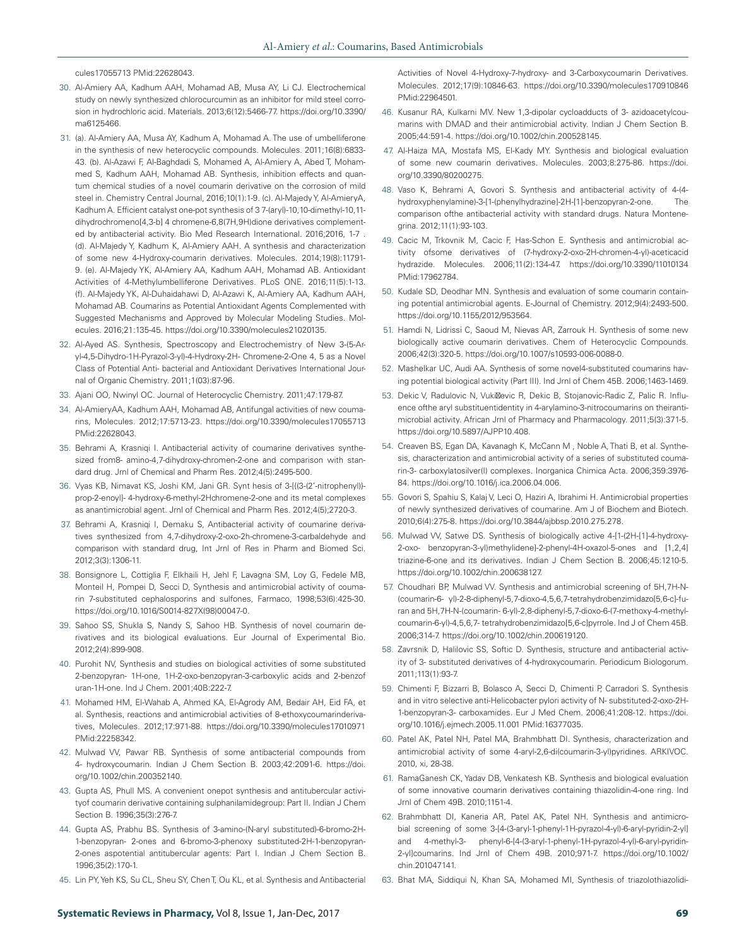cules17055713 PMid:22628043.

- 30. Al-Amiery AA, Kadhum AAH, Mohamad AB, Musa AY, Li CJ. Electrochemical study on newly synthesized chlorocurcumin as an inhibitor for mild steel corrosion in hydrochloric acid. Materials. 2013;6(12):5466-77. https://doi.org/10.3390/ ma6125466.
- 31. (a). Al-Amiery AA, Musa AY, Kadhum A, Mohamad A. The use of umbelliferone in the synthesis of new heterocyclic compounds. Molecules. 2011;16(8):6833- 43. (b). Al-Azawi F, Al-Baghdadi S, Mohamed A, Al-Amiery A, Abed T, Mohammed S, Kadhum AAH, Mohamad AB. Synthesis, inhibition effects and quantum chemical studies of a novel coumarin derivative on the corrosion of mild steel in. Chemistry Central Journal, 2016;10(1):1-9. (c). Al-Majedy Y, Al-AmieryA, Kadhum A. Efficient catalyst one-pot synthesis of 3 7-(aryl)-10,10-dimethyl-10,11 dihydrochromeno[4,3-b] 4 chromene-6,8(7H,9H)dione derivatives complemented by antibacterial activity. Bio Med Research International. 2016;2016, 1-7 . (d). Al-Majedy Y, Kadhum K, Al-Amiery AAH. A synthesis and characterization of some new 4-Hydroxy-coumarin derivatives. Molecules. 2014;19(8):11791- 9. (e). Al-Majedy YK, Al-Amiery AA, Kadhum AAH, Mohamad AB. Antioxidant Activities of 4-Methylumbelliferone Derivatives. PLoS ONE. 2016;11(5):1-13. (f). Al-Majedy YK, Al-Duhaidahawi D, Al-Azawi K, Al-Amiery AA, Kadhum AAH, Mohamad AB. Coumarins as Potential Antioxidant Agents Complemented with Suggested Mechanisms and Approved by Molecular Modeling Studies. Molecules. 2016;21:135-45. https://doi.org/10.3390/molecules21020135.
- 32. Al-Ayed AS. Synthesis, Spectroscopy and Electrochemistry of New 3-(5-Aryl-4,5-Dihydro-1H-Pyrazol-3-yl)-4-Hydroxy-2H- Chromene-2-One 4, 5 as a Novel Class of Potential Anti- bacterial and Antioxidant Derivatives International Journal of Organic Chemistry. 2011;1(03):87-96.
- 33. Ajani OO, Nwinyl OC. Journal of Heterocyclic Chemistry. 2011;47:179-87.
- 34. Al-AmieryAA, Kadhum AAH, Mohamad AB, Antifungal activities of new coumarins, Molecules. 2012;17:5713-23. https://doi.org/10.3390/molecules17055713 PMid:22628043.
- 35. Behrami A, Krasniqi I. Antibacterial activity of coumarine derivatives synthesized from8- amino-4,7-dihydroxy-chromen-2-one and comparison with standard drug. Jrnl of Chemical and Pharm Res. 2012;4(5):2495-500.
- 36. Vyas KB, Nimavat KS, Joshi KM, Jani GR. Synt hesis of 3-[{(3-(2'-nitrophenyl)} prop-2-enoyl]- 4-hydroxy-6-methyl-2Hchromene-2-one and its metal complexes as anantimicrobial agent. Jrnl of Chemical and Pharm Res. 2012;4(5);2720-3.
- 37. Behrami A, Krasniqi I, Demaku S, Antibacterial activity of coumarine derivatives synthesized from 4,7-dihydroxy-2-oxo-2h-chromene-3-carbaldehyde and comparison with standard drug, Int Jrnl of Res in Pharm and Biomed Sci. 2012;3(3):1306-11.
- 38. Bonsignore L, Cottiglia F, Elkhaili H, Jehl F, Lavagna SM, Loy G, Fedele MB, Monteil H, Pompei D, Secci D, Synthesis and antimicrobial activity of coumarin 7-substituted cephalosporins and sulfones, Farmaco, 1998;53(6):425-30. https://doi.org/10.1016/S0014-827X(98)00047-0.
- 39. Sahoo SS, Shukla S, Nandy S, Sahoo HB. Synthesis of novel coumarin derivatives and its biological evaluations. Eur Journal of Experimental Bio. 2012;2(4):899-908.
- 40. Purohit NV, Synthesis and studies on biological activities of some substituted 2-benzopyran- 1H-one, 1H-2-oxo-benzopyran-3-carboxylic acids and 2-benzof uran-1H-one. Ind J Chem. 2001;40B:222-7.
- 41. Mohamed HM, El-Wahab A, Ahmed KA, El-Agrody AM, Bedair AH, Eid FA, et al. Synthesis, reactions and antimicrobial activities of 8-ethoxycoumarinderivatives, Molecules. 2012;17:971-88. https://doi.org/10.3390/molecules17010971 PMid:22258342.
- 42. Mulwad VV, Pawar RB. Synthesis of some antibacterial compounds from 4- hydroxycoumarin. Indian J Chem Section B. 2003;42:2091-6. https://doi. org/10.1002/chin.200352140.
- 43. Gupta AS, Phull MS. A convenient onepot synthesis and antitubercular activityof coumarin derivative containing sulphanilamidegroup: Part II. Indian J Chem Section B. 1996;35(3):276-7.
- 44. Gupta AS, Prabhu BS. Synthesis of 3-amino-(N-aryl substituted)-6-bromo-2H-1-benzopyran- 2-ones and 6-bromo-3-phenoxy substituted-2H-1-benzopyran-2-ones aspotential antitubercular agents: Part I. Indian J Chem Section B. 1996;35(2):170-1.
- 45. Lin PY, Yeh KS, Su CL, Sheu SY, Chen T, Ou KL, et al. Synthesis and Antibacterial

Activities of Novel 4-Hydroxy-7-hydroxy- and 3-Carboxycoumarin Derivatives. Molecules. 2012;17(9):10846-63. https://doi.org/10.3390/molecules170910846 PMid:22964501.

- 46. Kusanur RA, Kulkarni MV. New 1,3-dipolar cycloadducts of 3- azidoacetylcoumarins with DMAD and their antimicrobial activity. Indian J Chem Section B. 2005;44:591-4. https://doi.org/10.1002/chin.200528145.
- 47. Al-Haiza MA, Mostafa MS, El-Kady MY. Synthesis and biological evaluation of some new coumarin derivatives. Molecules. 2003;8:275-86. https://doi. org/10.3390/80200275.
- 48. Vaso K, Behrami A, Govori S. Synthesis and antibacterial activity of 4-(4 hydroxyphenylamine)-3-[1-(phenylhydrazine]-2H-[1]-benzopyran-2-one. comparison ofthe antibacterial activity with standard drugs. Natura Montenegrina. 2012;11(1):93-103.
- 49. Cacic M, Trkovnik M, Cacic F, Has-Schon E. Synthesis and antimicrobial activity ofsome derivatives of (7-hydroxy-2-oxo-2H-chromen-4-yl)-aceticacid hydrazide. Molecules. 2006;11(2):134-47. https://doi.org/10.3390/11010134 PMid:17962784.
- 50. Kudale SD, Deodhar MN. Synthesis and evaluation of some coumarin containing potential antimicrobial agents. E-Journal of Chemistry. 2012;9(4):2493-500. https://doi.org/10.1155/2012/953564.
- 51. Hamdi N, Lidrissi C, Saoud M, Nievas AR, Zarrouk H. Synthesis of some new biologically active coumarin derivatives. Chem of Heterocyclic Compounds. 2006;42(3):320-5. https://doi.org/10.1007/s10593-006-0088-0.
- 52. Mashelkar UC, Audi AA. Synthesis of some novel4-substituted coumarins having potential biological activity (Part III). Ind Jrnl of Chem 45B. 2006;1463-1469.
- 53. Dekic V, Radulovic N, Vuki evic R, Dekic B, Stojanovic-Radic Z, Palic R. Influence ofthe aryl substituentidentity in 4-arylamino-3-nitrocoumarins on theirantimicrobial activity. African Jrnl of Pharmacy and Pharmacology. 2011;5(3):371-5. https://doi.org/10.5897/AJPP10.408.
- 54. Creaven BS, Egan DA, Kavanagh K, McCann M , Noble A, Thati B, et al. Synthesis, characterization and antimicrobial activity of a series of substituted coumarin-3- carboxylatosilver(I) complexes. Inorganica Chimica Acta. 2006;359:3976- 84. https://doi.org/10.1016/j.ica.2006.04.006.
- 55. Govori S, Spahiu S, Kalaj V, Leci O, Haziri A, Ibrahimi H. Antimicrobial properties of newly synthesized derivatives of coumarine. Am J of Biochem and Biotech. 2010;6(4):275-8. https://doi.org/10.3844/ajbbsp.2010.275.278.
- 56. Mulwad VV, Satwe DS. Synthesis of biologically active 4-[1-(2H-[1]-4-hydroxy-2-oxo- benzopyran-3-yl)methylidene]-2-phenyl-4H-oxazol-5-ones and [1,2,4] triazine-6-one and its derivatives. Indian J Chem Section B. 2006;45:1210-5. https://doi.org/10.1002/chin.200638127.
- 57. Choudhari BP, Mulwad VV. Synthesis and antimicrobial screening of 5H,7H-N- (coumarin-6- yl)-2-8-diphenyl-5,7-dioxo-4,5,6,7-tetrahydrobenzimidazo[5,6-c]-furan and 5H,7H-N-(coumarin- 6-yl)-2,8-diphenyl-5,7-dioxo-6-(7-methoxy-4-methylcoumarin-6-yl)-4,5,6,7- tetrahydrobenzimidazo[5,6-c]pyrrole. Ind J of Chem 45B. 2006;314-7. https://doi.org/10.1002/chin.200619120.
- 58. Zavrsnik D, Halilovic SS, Softic D. Synthesis, structure and antibacterial activity of 3- substituted derivatives of 4-hydroxycoumarin. Periodicum Biologorum. 2011;113(1):93-7.
- 59. Chimenti F, Bizzarri B, Bolasco A, Secci D, Chimenti P, Carradori S. Synthesis and in vitro selective anti-Helicobacter pylori activity of N- substituted-2-oxo-2H-1-benzopyran-3- carboxamides. Eur J Med Chem. 2006;41:208-12. https://doi. org/10.1016/j.ejmech.2005.11.001 PMid:16377035.
- 60. Patel AK, Patel NH, Patel MA, Brahmbhatt DI. Synthesis, characterization and antimicrobial activity of some 4-aryl-2,6-di(coumarin-3-yl)pyridines. ARKIVOC. 2010, xi, 28-38.
- 61. RamaGanesh CK, Yadav DB, Venkatesh KB. Synthesis and biological evaluation of some innovative coumarin derivatives containing thiazolidin-4-one ring. Ind Jrnl of Chem 49B. 2010;1151-4.
- 62. Brahmbhatt DI, Kaneria AR, Patel AK, Patel NH. Synthesis and antimicrobial screening of some 3-[4-(3-aryl-1-phenyl-1H-pyrazol-4-yl)-6-aryl-pyridin-2-yl] and 4-methyl-3- phenyl-6-[4-(3-aryl-1-phenyl-1H-pyrazol-4-yl)-6-aryl-pyridin-2-yl]coumarins. Ind Jrnl of Chem 49B. 2010;971-7. https://doi.org/10.1002/ chin.201047141.
- 63. Bhat MA, Siddiqui N, Khan SA, Mohamed MI, Synthesis of triazolothiazolidi-